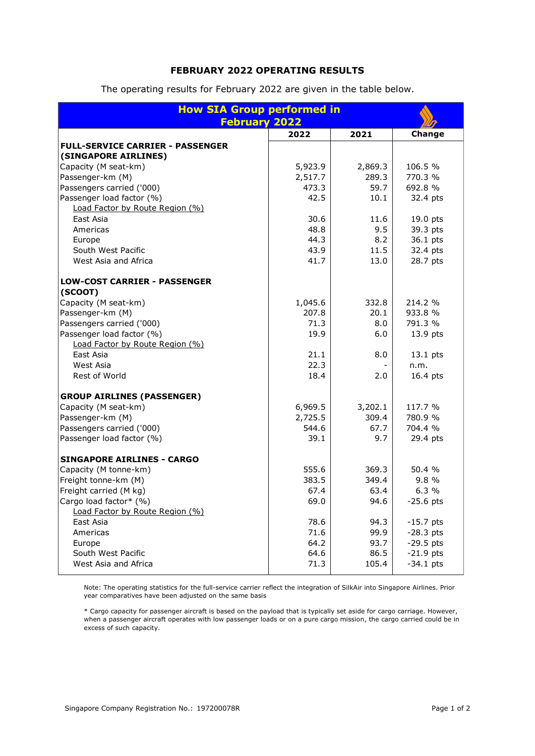## **FEBRUARY 2022 OPERATING RESULTS**

The operating results for February 2022 are given in the table below.

| <b>How SIA Group performed in</b><br><b>February 2022</b>       |         |         |             |
|-----------------------------------------------------------------|---------|---------|-------------|
|                                                                 | 2022    | 2021    | Change      |
| <b>FULL-SERVICE CARRIER - PASSENGER</b><br>(SINGAPORE AIRLINES) |         |         |             |
| Capacity (M seat-km)                                            | 5,923.9 | 2,869.3 | 106.5 %     |
| Passenger-km (M)                                                | 2,517.7 | 289.3   | 770.3 %     |
| Passengers carried ('000)                                       | 473.3   | 59.7    | 692.8 %     |
| Passenger load factor (%)                                       | 42.5    | 10.1    | 32.4 pts    |
| Load Factor by Route Region (%)                                 |         |         |             |
| East Asia                                                       | 30.6    | 11.6    | 19.0 pts    |
| Americas                                                        | 48.8    | 9.5     | 39.3 pts    |
| Europe                                                          | 44.3    | 8.2     | 36.1 pts    |
| South West Pacific                                              | 43.9    | 11.5    | 32.4 pts    |
| West Asia and Africa                                            | 41.7    | 13.0    | 28.7 pts    |
| <b>LOW-COST CARRIER - PASSENGER</b><br>(SCOOT)                  |         |         |             |
| Capacity (M seat-km)                                            | 1,045.6 | 332.8   | 214.2 %     |
| Passenger-km (M)                                                | 207.8   | 20.1    | 933.8 %     |
| Passengers carried ('000)                                       | 71.3    | 8.0     | 791.3 %     |
| Passenger load factor (%)                                       | 19.9    | 6.0     | 13.9 pts    |
| Load Factor by Route Region (%)                                 |         |         |             |
| East Asia                                                       | 21.1    | 8.0     | 13.1 pts    |
| West Asia                                                       | 22.3    |         | n.m.        |
| Rest of World                                                   | 18.4    | 2.0     | 16.4 pts    |
| <b>GROUP AIRLINES (PASSENGER)</b>                               |         |         |             |
| Capacity (M seat-km)                                            | 6,969.5 | 3,202.1 | 117.7 %     |
| Passenger-km (M)                                                | 2,725.5 | 309.4   | 780.9 %     |
| Passengers carried ('000)                                       | 544.6   | 67.7    | 704.4 %     |
| Passenger load factor (%)                                       | 39.1    | 9.7     | 29.4 pts    |
| <b>SINGAPORE AIRLINES - CARGO</b>                               |         |         |             |
| Capacity (M tonne-km)                                           | 555.6   | 369.3   | 50.4 %      |
| Freight tonne-km (M)                                            | 383.5   | 349.4   | 9.8%        |
| Freight carried (M kg)                                          | 67.4    | 63.4    | 6.3%        |
| Cargo load factor* (%)<br>Load Factor by Route Region (%)       | 69.0    | 94.6    | $-25.6$ pts |
| East Asia                                                       | 78.6    | 94.3    | $-15.7$ pts |
| Americas                                                        | 71.6    | 99.9    | $-28.3$ pts |
| Europe                                                          | 64.2    | 93.7    | $-29.5$ pts |
| South West Pacific                                              | 64.6    | 86.5    | $-21.9$ pts |
| West Asia and Africa                                            | 71.3    | 105.4   | $-34.1$ pts |
|                                                                 |         |         |             |

Note: The operating statistics for the full-service carrier reflect the integration of SilkAir into Singapore Airlines. Prior year comparatives have been adjusted on the same basis

\* Cargo capacity for passenger aircraft is based on the payload that is typically set aside for cargo carriage. However, when a passenger aircraft operates with low passenger loads or on a pure cargo mission, the cargo carried could be in excess of such capacity.